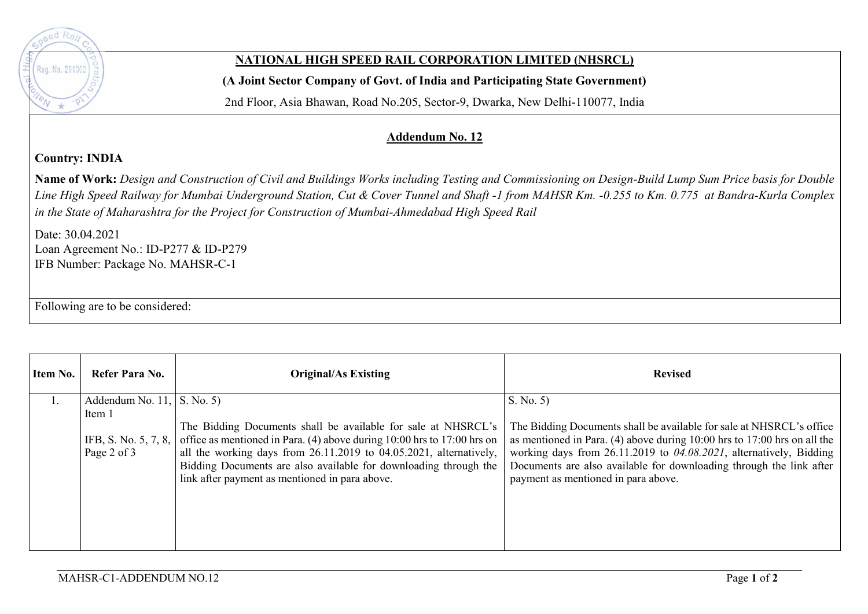

## **NATIONAL HIGH SPEED RAIL CORPORATION LIMITED (NHSRCL)**

**(A Joint Sector Company of Govt. of India and Participating State Government)** 

2nd Floor, Asia Bhawan, Road No.205, Sector-9, Dwarka, New Delhi-110077, India

## **Addendum No. 12**

## **Country: INDIA**

**Name of Work:** *Design and Construction of Civil and Buildings Works including Testing and Commissioning on Design-Build Lump Sum Price basis for Double Line High Speed Railway for Mumbai Underground Station, Cut & Cover Tunnel and Shaft -1 from MAHSR Km. -0.255 to Km. 0.775 at Bandra-Kurla Complex in the State of Maharashtra for the Project for Construction of Mumbai-Ahmedabad High Speed Rail*

Date: 30.04.2021 Loan Agreement No.: ID-P277 & ID-P279 IFB Number: Package No. MAHSR-C-1

Following are to be considered:

| Item No. | Refer Para No.                     | <b>Original/As Existing</b>                                                                                                                                                                                                                                                                                                                               | <b>Revised</b>                                                                                                                                                                                                                                                                                                                           |
|----------|------------------------------------|-----------------------------------------------------------------------------------------------------------------------------------------------------------------------------------------------------------------------------------------------------------------------------------------------------------------------------------------------------------|------------------------------------------------------------------------------------------------------------------------------------------------------------------------------------------------------------------------------------------------------------------------------------------------------------------------------------------|
|          | Addendum No. 11, $\vert$ S. No. 5) |                                                                                                                                                                                                                                                                                                                                                           | S. No. 5)                                                                                                                                                                                                                                                                                                                                |
|          | Item 1<br>Page 2 of 3              | The Bidding Documents shall be available for sale at NHSRCL's<br>IFB, S. No. 5, 7, 8, office as mentioned in Para. (4) above during 10:00 hrs to 17:00 hrs on<br>all the working days from 26.11.2019 to 04.05.2021, alternatively,<br>Bidding Documents are also available for downloading through the<br>link after payment as mentioned in para above. | The Bidding Documents shall be available for sale at NHSRCL's office<br>as mentioned in Para. (4) above during $10:00$ hrs to $17:00$ hrs on all the<br>working days from 26.11.2019 to 04.08.2021, alternatively, Bidding<br>Documents are also available for downloading through the link after<br>payment as mentioned in para above. |